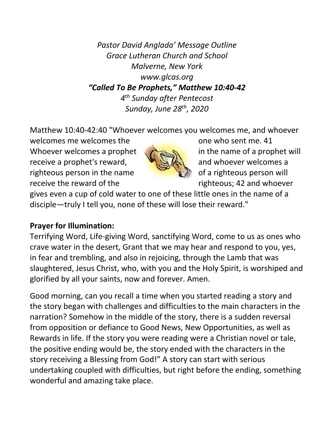*Pastor David Anglada' Message Outline Grace Lutheran Church and School Malverne, New York www.glcas.org "Called To Be Prophets," Matthew 10:40-42 4th Sunday after Pentecost Sunday, June 28th, 2020*

Matthew 10:40-42:40 "Whoever welcomes you welcomes me, and whoever

welcomes me welcomes the one who sent me. 41 Whoever welcomes a prophet  $\sqrt{2\pi}$  in the name of a prophet will receive a prophet's reward,  $\mathbb{R} \setminus \mathbb{R}$  and whoever welcomes a righteous person in the name of a righteous person will receive the reward of the righteous; 42 and whoever



gives even a cup of cold water to one of these little ones in the name of a disciple—truly I tell you, none of these will lose their reward."

## **Prayer for Illumination:**

Terrifying Word, Life-giving Word, sanctifying Word, come to us as ones who crave water in the desert, Grant that we may hear and respond to you, yes, in fear and trembling, and also in rejoicing, through the Lamb that was slaughtered, Jesus Christ, who, with you and the Holy Spirit, is worshiped and glorified by all your saints, now and forever. Amen.

Good morning, can you recall a time when you started reading a story and the story began with challenges and difficulties to the main characters in the narration? Somehow in the middle of the story, there is a sudden reversal from opposition or defiance to Good News, New Opportunities, as well as Rewards in life. If the story you were reading were a Christian novel or tale, the positive ending would be, the story ended with the characters in the story receiving a Blessing from God!" A story can start with serious undertaking coupled with difficulties, but right before the ending, something wonderful and amazing take place.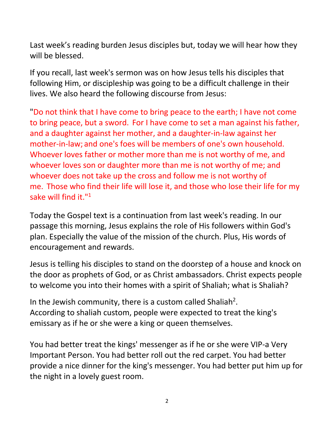Last week's reading burden Jesus disciples but, today we will hear how they will be blessed.

If you recall, last week's sermon was on how Jesus tells his disciples that following Him, or discipleship was going to be a difficult challenge in their lives. We also heard the following discourse from Jesus:

"Do not think that I have come to bring peace to the earth; I have not come to bring peace, but a sword. For I have come to set a man against his father, and a daughter against her mother, and a daughter-in-law against her mother-in-law; and one's foes will be members of one's own household. Whoever loves father or mother more than me is not worthy of me, and whoever loves son or daughter more than me is not worthy of me; and whoever does not take up the cross and follow me is not worthy of me. Those who find their life will lose it, and those who lose their life for my sake will find it."<sup>1</sup>

Today the Gospel text is a continuation from last week's reading. In our passage this morning, Jesus explains the role of His followers within God's plan. Especially the value of the mission of the church. Plus, His words of encouragement and rewards.

Jesus is telling his disciples to stand on the doorstep of a house and knock on the door as prophets of God, or as Christ ambassadors. Christ expects people to welcome you into their homes with a spirit of Shaliah; what is Shaliah?

In the Jewish community, there is a custom called Shaliah<sup>2</sup>. According to shaliah custom, people were expected to treat the king's emissary as if he or she were a king or queen themselves.

You had better treat the kings' messenger as if he or she were VIP-a Very Important Person. You had better roll out the red carpet. You had better provide a nice dinner for the king's messenger. You had better put him up for the night in a lovely guest room.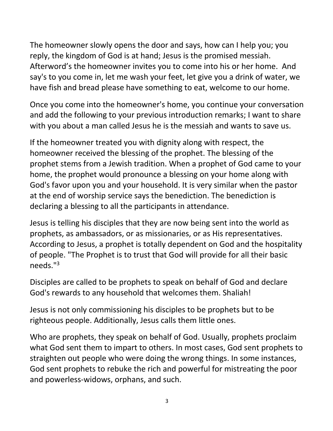The homeowner slowly opens the door and says, how can I help you; you reply, the kingdom of God is at hand; Jesus is the promised messiah. Afterword's the homeowner invites you to come into his or her home. And say's to you come in, let me wash your feet, let give you a drink of water, we have fish and bread please have something to eat, welcome to our home.

Once you come into the homeowner's home, you continue your conversation and add the following to your previous introduction remarks; I want to share with you about a man called Jesus he is the messiah and wants to save us.

If the homeowner treated you with dignity along with respect, the homeowner received the blessing of the prophet. The blessing of the prophet stems from a Jewish tradition. When a prophet of God came to your home, the prophet would pronounce a blessing on your home along with God's favor upon you and your household. It is very similar when the pastor at the end of worship service says the benediction. The benediction is declaring a blessing to all the participants in attendance.

Jesus is telling his disciples that they are now being sent into the world as prophets, as ambassadors, or as missionaries, or as His representatives. According to Jesus, a prophet is totally dependent on God and the hospitality of people. "The Prophet is to trust that God will provide for all their basic needs."3

Disciples are called to be prophets to speak on behalf of God and declare God's rewards to any household that welcomes them. Shaliah!

Jesus is not only commissioning his disciples to be prophets but to be righteous people. Additionally, Jesus calls them little ones.

Who are prophets, they speak on behalf of God. Usually, prophets proclaim what God sent them to impart to others. In most cases, God sent prophets to straighten out people who were doing the wrong things. In some instances, God sent prophets to rebuke the rich and powerful for mistreating the poor and powerless-widows, orphans, and such.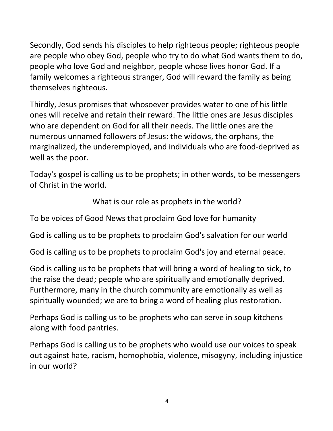Secondly, God sends his disciples to help righteous people; righteous people are people who obey God, people who try to do what God wants them to do, people who love God and neighbor, people whose lives honor God. If a family welcomes a righteous stranger, God will reward the family as being themselves righteous.

Thirdly, Jesus promises that whosoever provides water to one of his little ones will receive and retain their reward. The little ones are Jesus disciples who are dependent on God for all their needs. The little ones are the numerous unnamed followers of Jesus: the widows, the orphans, the marginalized, the underemployed, and individuals who are food-deprived as well as the poor.

Today's gospel is calling us to be prophets; in other words, to be messengers of Christ in the world.

What is our role as prophets in the world?

To be voices of Good News that proclaim God love for humanity

God is calling us to be prophets to proclaim God's salvation for our world

God is calling us to be prophets to proclaim God's joy and eternal peace.

God is calling us to be prophets that will bring a word of healing to sick, to the raise the dead; people who are spiritually and emotionally deprived. Furthermore, many in the church community are emotionally as well as spiritually wounded; we are to bring a word of healing plus restoration.

Perhaps God is calling us to be prophets who can serve in soup kitchens along with food pantries.

Perhaps God is calling us to be prophets who would use our voices to speak out against hate, racism, homophobia, violence**,** misogyny, including injustice in our world?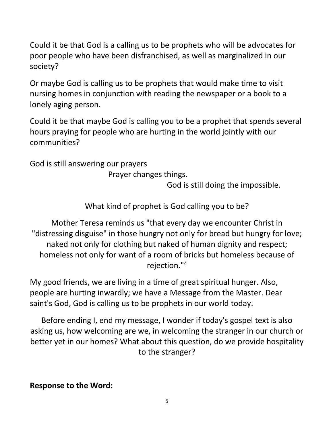Could it be that God is a calling us to be prophets who will be advocates for poor people who have been disfranchised, as well as marginalized in our society?

Or maybe God is calling us to be prophets that would make time to visit nursing homes in conjunction with reading the newspaper or a book to a lonely aging person.

Could it be that maybe God is calling you to be a prophet that spends several hours praying for people who are hurting in the world jointly with our communities?

God is still answering our prayers

Prayer changes things.

God is still doing the impossible.

What kind of prophet is God calling you to be?

Mother Teresa reminds us "that every day we encounter Christ in "distressing disguise" in those hungry not only for bread but hungry for love; naked not only for clothing but naked of human dignity and respect; homeless not only for want of a room of bricks but homeless because of rejection."4

My good friends, we are living in a time of great spiritual hunger. Also, people are hurting inwardly; we have a Message from the Master. Dear saint's God, God is calling us to be prophets in our world today.

Before ending I, end my message, I wonder if today's gospel text is also asking us, how welcoming are we, in welcoming the stranger in our church or better yet in our homes? What about this question, do we provide hospitality to the stranger?

**Response to the Word:**